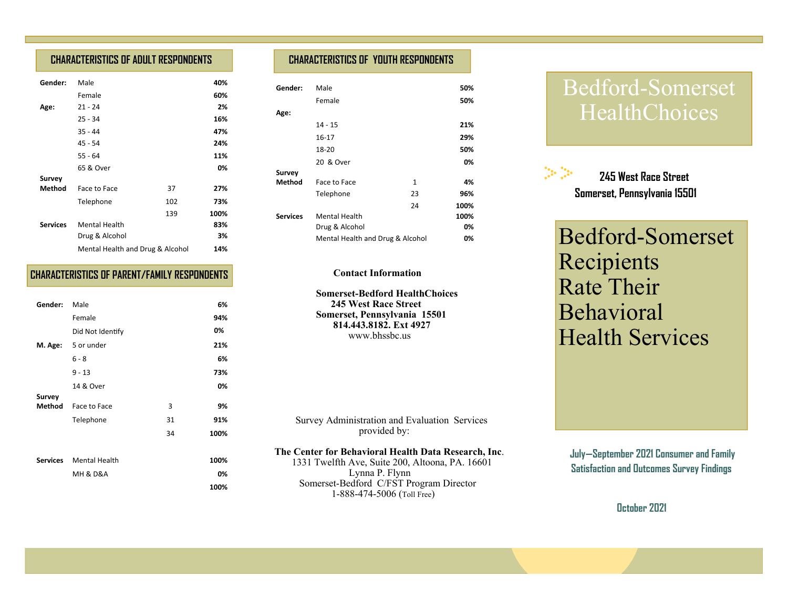## **CHARACTERISTICS OF ADULT RESPONDENTS**

| Gender:         | Male                             |     | 40%  |
|-----------------|----------------------------------|-----|------|
|                 | Female                           |     | 60%  |
| Age:            | $21 - 24$                        |     | 2%   |
|                 | $25 - 34$                        |     | 16%  |
|                 | $35 - 44$                        |     | 47%  |
|                 | 45 - 54                          |     | 24%  |
|                 | $55 - 64$                        |     | 11%  |
|                 | 65 & Over                        |     | 0%   |
| <b>Survey</b>   |                                  |     |      |
| Method          | Face to Face                     | 37  | 27%  |
|                 | Telephone                        | 102 | 73%  |
|                 |                                  | 139 | 100% |
| <b>Services</b> | <b>Mental Health</b>             |     | 83%  |
|                 | Drug & Alcohol                   |     | 3%   |
|                 | Mental Health and Drug & Alcohol |     | 14%  |

### **CHARACTERISTICS OF PARENT/FAMILY RESPONDENTS**

| Gender: | Male                    |    | 6%   |
|---------|-------------------------|----|------|
|         | Female                  |    | 94%  |
|         | Did Not Identify        |    | 0%   |
|         | M. Age: 5 or under      |    | 21%  |
|         | $6 - 8$                 |    | 6%   |
|         | $9 - 13$                |    | 73%  |
|         | 14 & Over               |    | 0%   |
| Survey  |                         |    |      |
| Method  | Face to Face            | 3  | 9%   |
|         | Telephone               | 31 | 91%  |
|         |                         | 34 | 100% |
|         |                         |    |      |
|         | Services Mental Health  |    | 100% |
|         | <b>MH &amp; D&amp;A</b> |    | 0%   |
|         |                         |    | 100% |

## **CHARACTERISTICS OF YOUTH RESPONDENTS**

| Gender:         | Male                             |              | 50%  |
|-----------------|----------------------------------|--------------|------|
|                 | Female                           |              | 50%  |
| Age:            |                                  |              |      |
|                 | 14 - 15                          |              | 21%  |
|                 | 16-17                            |              | 29%  |
|                 | 18-20                            |              | 50%  |
|                 | 20 & Over                        |              | 0%   |
| Survey          |                                  |              |      |
| Method          | Face to Face                     | $\mathbf{1}$ | 4%   |
|                 | Telephone                        | 23           | 96%  |
|                 |                                  | 24           | 100% |
| <b>Services</b> | <b>Mental Health</b>             |              | 100% |
|                 | Drug & Alcohol                   |              | 0%   |
|                 | Mental Health and Drug & Alcohol |              | 0%   |

#### **Contact Information**

 **Somerset-Bedford HealthChoices 245 West Race Street Somerset, Pennsylvania 15501 814.443.8182. Ext 4927**www.bhssbc.us

 Survey Administration and Evaluation Services provided by:

#### **The Center for Behavioral Health Data Research, Inc**.

 1331 Twelfth Ave, Suite 200, Altoona, PA. 16601 Lynna P. Flynn Somerset-Bedford C/FST Program Director 1-888-474-5006 (Toll Free)

# Bedford-Somerset HealthChoices



Bedford-Somerset Recipients Rate Their Behavioral Health Services

 **July—September 2021 Consumer and Family Satisfaction and Outcomes Survey Findings** 

**October 2021**